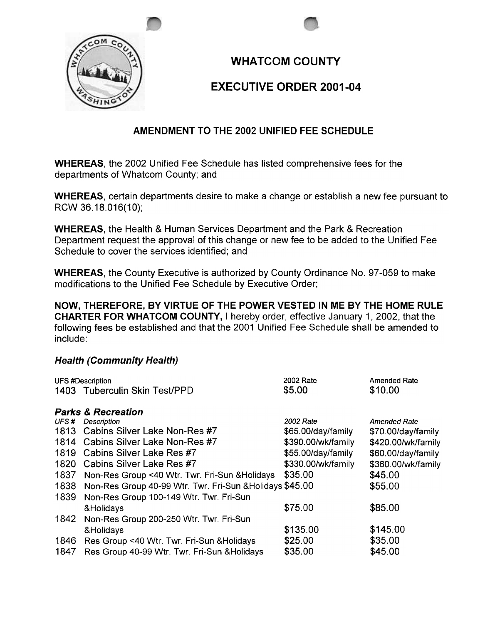

## **WHATCOM COUNTY**

## EXECUTIVE ORDER 2001-04

## AMENDMENT TO THE 2002 UNIFIED FEE SCHEDULE

WHEREAS, the 2002 Unified Fee Schedule has listed comprehensive fees for the departments of Whatcom County; and

WHEREAS, certain departments desire to make a change or establish a new fee pursuant to RCW 36.18.016(10);

WHEREAS, the Health & Human Services Department and the Park & Recreation Department request the approval of this change or new fee to be added to the Unified Fee Schedule to cover the services identified; and

WHEREAS, the County Executive is authorized by County Ordinance No. 97-059 to make modifications to the Unified Fee Schedule by Executive Order;

NOW, THEREFORE, BY VIRTUE OF THE POWER VESTED IN ME BY THE HOME RULE CHARTER FOR WHATCOM COUNTY, I hereby order, effective January 1, 2002, that the following fees be established and that the 2001 Unified Fee Schedule shall be amended to include:

## Health (Community Health)

| <b>UFS #Description</b>       |                                                          | 2002 Rate          | <b>Amended Rate</b> |  |  |
|-------------------------------|----------------------------------------------------------|--------------------|---------------------|--|--|
|                               | 1403 Tuberculin Skin Test/PPD                            | \$5.00             | \$10.00             |  |  |
| <b>Parks &amp; Recreation</b> |                                                          |                    |                     |  |  |
| UFS#                          | Description                                              | 2002 Rate          | <b>Amended Rate</b> |  |  |
|                               | 1813 Cabins Silver Lake Non-Res #7                       | \$65.00/day/family | \$70.00/day/family  |  |  |
|                               | 1814 Cabins Silver Lake Non-Res #7                       | \$390.00/wk/family | \$420.00/wk/family  |  |  |
|                               | 1819 Cabins Silver Lake Res #7                           | \$55.00/day/family | \$60.00/day/family  |  |  |
|                               | 1820 Cabins Silver Lake Res #7                           | \$330.00/wk/family | \$360.00/wk/family  |  |  |
| 1837                          | Non-Res Group <40 Wtr. Twr. Fri-Sun & Holidays           | \$35.00            | \$45.00             |  |  |
| 1838                          | Non-Res Group 40-99 Wtr. Twr. Fri-Sun & Holidays \$45.00 |                    | \$55.00             |  |  |
| 1839                          | Non-Res Group 100-149 Wtr. Twr. Fri-Sun                  |                    |                     |  |  |
|                               | &Holidays                                                | \$75.00            | \$85.00             |  |  |
| 1842                          | Non-Res Group 200-250 Wtr. Twr. Fri-Sun                  |                    |                     |  |  |
|                               | &Holidays                                                | \$135.00           | \$145.00            |  |  |
| 1846                          | Res Group <40 Wtr. Twr. Fri-Sun & Holidays               | \$25.00            | \$35.00             |  |  |
| 1847                          | Res Group 40-99 Wtr. Twr. Fri-Sun & Holidays             | \$35.00            | \$45.00             |  |  |